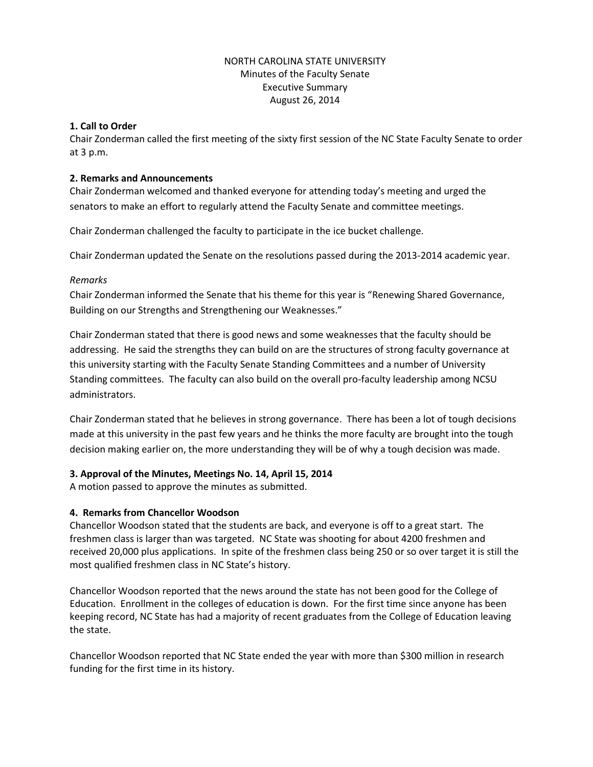## NORTH CAROLINA STATE UNIVERSITY Minutes of the Faculty Senate Executive Summary August 26, 2014

#### **1. Call to Order**

Chair Zonderman called the first meeting of the sixty first session of the NC State Faculty Senate to order at 3 p.m.

#### **2. Remarks and Announcements**

Chair Zonderman welcomed and thanked everyone for attending today's meeting and urged the senators to make an effort to regularly attend the Faculty Senate and committee meetings.

Chair Zonderman challenged the faculty to participate in the ice bucket challenge.

Chair Zonderman updated the Senate on the resolutions passed during the 2013-2014 academic year.

## *Remarks*

Chair Zonderman informed the Senate that his theme for this year is "Renewing Shared Governance, Building on our Strengths and Strengthening our Weaknesses."

Chair Zonderman stated that there is good news and some weaknesses that the faculty should be addressing. He said the strengths they can build on are the structures of strong faculty governance at this university starting with the Faculty Senate Standing Committees and a number of University Standing committees. The faculty can also build on the overall pro-faculty leadership among NCSU administrators.

Chair Zonderman stated that he believes in strong governance. There has been a lot of tough decisions made at this university in the past few years and he thinks the more faculty are brought into the tough decision making earlier on, the more understanding they will be of why a tough decision was made.

## **3. Approval of the Minutes, Meetings No. 14, April 15, 2014**

A motion passed to approve the minutes as submitted.

## **4. Remarks from Chancellor Woodson**

Chancellor Woodson stated that the students are back, and everyone is off to a great start. The freshmen class is larger than was targeted. NC State was shooting for about 4200 freshmen and received 20,000 plus applications. In spite of the freshmen class being 250 or so over target it is still the most qualified freshmen class in NC State's history.

Chancellor Woodson reported that the news around the state has not been good for the College of Education. Enrollment in the colleges of education is down. For the first time since anyone has been keeping record, NC State has had a majority of recent graduates from the College of Education leaving the state.

Chancellor Woodson reported that NC State ended the year with more than \$300 million in research funding for the first time in its history.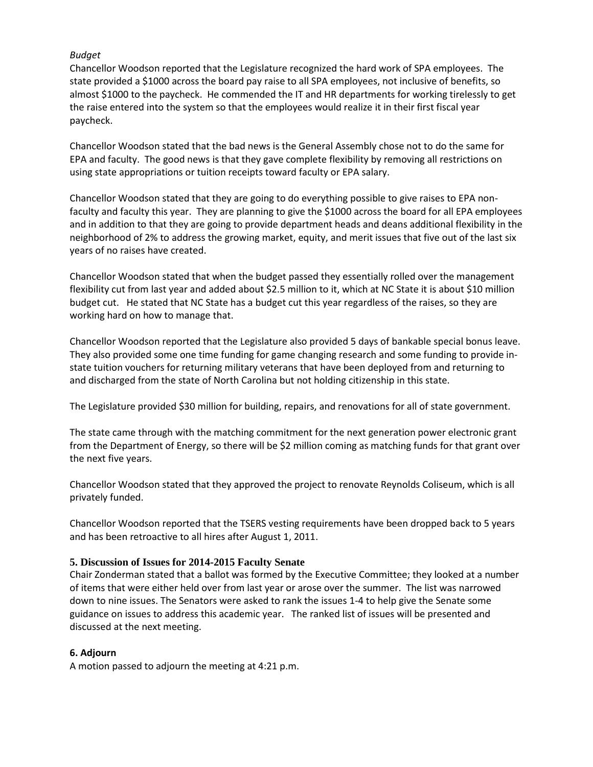## *Budget*

Chancellor Woodson reported that the Legislature recognized the hard work of SPA employees. The state provided a \$1000 across the board pay raise to all SPA employees, not inclusive of benefits, so almost \$1000 to the paycheck. He commended the IT and HR departments for working tirelessly to get the raise entered into the system so that the employees would realize it in their first fiscal year paycheck.

Chancellor Woodson stated that the bad news is the General Assembly chose not to do the same for EPA and faculty. The good news is that they gave complete flexibility by removing all restrictions on using state appropriations or tuition receipts toward faculty or EPA salary.

Chancellor Woodson stated that they are going to do everything possible to give raises to EPA nonfaculty and faculty this year. They are planning to give the \$1000 across the board for all EPA employees and in addition to that they are going to provide department heads and deans additional flexibility in the neighborhood of 2% to address the growing market, equity, and merit issues that five out of the last six years of no raises have created.

Chancellor Woodson stated that when the budget passed they essentially rolled over the management flexibility cut from last year and added about \$2.5 million to it, which at NC State it is about \$10 million budget cut. He stated that NC State has a budget cut this year regardless of the raises, so they are working hard on how to manage that.

Chancellor Woodson reported that the Legislature also provided 5 days of bankable special bonus leave. They also provided some one time funding for game changing research and some funding to provide instate tuition vouchers for returning military veterans that have been deployed from and returning to and discharged from the state of North Carolina but not holding citizenship in this state.

The Legislature provided \$30 million for building, repairs, and renovations for all of state government.

The state came through with the matching commitment for the next generation power electronic grant from the Department of Energy, so there will be \$2 million coming as matching funds for that grant over the next five years.

Chancellor Woodson stated that they approved the project to renovate Reynolds Coliseum, which is all privately funded.

Chancellor Woodson reported that the TSERS vesting requirements have been dropped back to 5 years and has been retroactive to all hires after August 1, 2011.

## **5. Discussion of Issues for 2014-2015 Faculty Senate**

Chair Zonderman stated that a ballot was formed by the Executive Committee; they looked at a number of items that were either held over from last year or arose over the summer. The list was narrowed down to nine issues. The Senators were asked to rank the issues 1-4 to help give the Senate some guidance on issues to address this academic year. The ranked list of issues will be presented and discussed at the next meeting.

## **6. Adjourn**

A motion passed to adjourn the meeting at 4:21 p.m.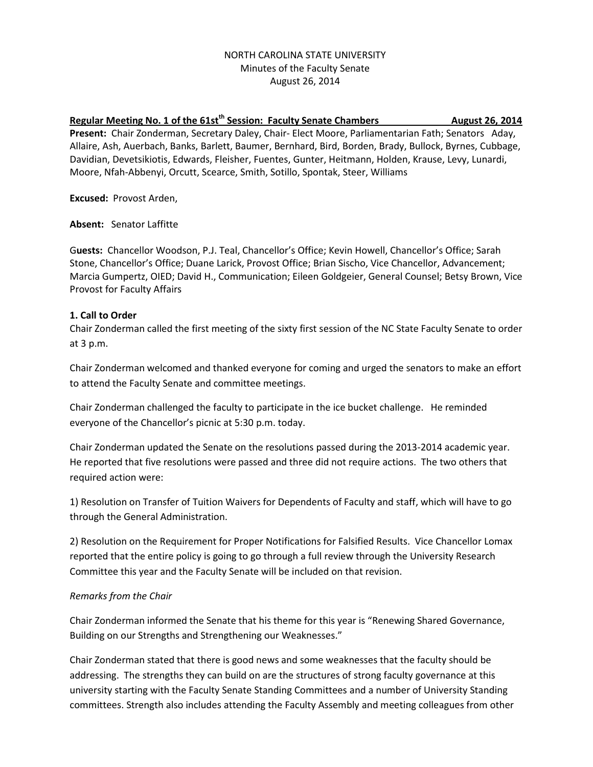## NORTH CAROLINA STATE UNIVERSITY Minutes of the Faculty Senate August 26, 2014

# Regular Meeting No. 1 of the 61st<sup>th</sup> Session: Faculty Senate Chambers **August 26, 2014 Present:** Chair Zonderman, Secretary Daley, Chair- Elect Moore, Parliamentarian Fath; Senators Aday, Allaire, Ash, Auerbach, Banks, Barlett, Baumer, Bernhard, Bird, Borden, Brady, Bullock, Byrnes, Cubbage, Davidian, Devetsikiotis, Edwards, Fleisher, Fuentes, Gunter, Heitmann, Holden, Krause, Levy, Lunardi, Moore, Nfah-Abbenyi, Orcutt, Scearce, Smith, Sotillo, Spontak, Steer, Williams

**Excused:** Provost Arden,

**Absent:** Senator Laffitte

G**uests:** Chancellor Woodson, P.J. Teal, Chancellor's Office; Kevin Howell, Chancellor's Office; Sarah Stone, Chancellor's Office; Duane Larick, Provost Office; Brian Sischo, Vice Chancellor, Advancement; Marcia Gumpertz, OIED; David H., Communication; Eileen Goldgeier, General Counsel; Betsy Brown, Vice Provost for Faculty Affairs

## **1. Call to Order**

Chair Zonderman called the first meeting of the sixty first session of the NC State Faculty Senate to order at 3 p.m.

Chair Zonderman welcomed and thanked everyone for coming and urged the senators to make an effort to attend the Faculty Senate and committee meetings.

Chair Zonderman challenged the faculty to participate in the ice bucket challenge. He reminded everyone of the Chancellor's picnic at 5:30 p.m. today.

Chair Zonderman updated the Senate on the resolutions passed during the 2013-2014 academic year. He reported that five resolutions were passed and three did not require actions. The two others that required action were:

1) Resolution on Transfer of Tuition Waivers for Dependents of Faculty and staff, which will have to go through the General Administration.

2) Resolution on the Requirement for Proper Notifications for Falsified Results. Vice Chancellor Lomax reported that the entire policy is going to go through a full review through the University Research Committee this year and the Faculty Senate will be included on that revision.

# *Remarks from the Chair*

Chair Zonderman informed the Senate that his theme for this year is "Renewing Shared Governance, Building on our Strengths and Strengthening our Weaknesses."

Chair Zonderman stated that there is good news and some weaknesses that the faculty should be addressing. The strengths they can build on are the structures of strong faculty governance at this university starting with the Faculty Senate Standing Committees and a number of University Standing committees. Strength also includes attending the Faculty Assembly and meeting colleagues from other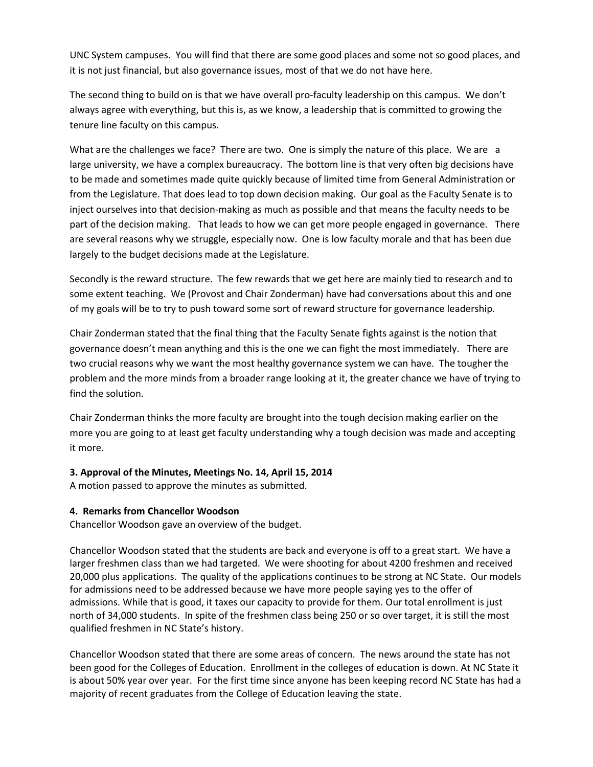UNC System campuses. You will find that there are some good places and some not so good places, and it is not just financial, but also governance issues, most of that we do not have here.

The second thing to build on is that we have overall pro-faculty leadership on this campus. We don't always agree with everything, but this is, as we know, a leadership that is committed to growing the tenure line faculty on this campus.

What are the challenges we face? There are two. One is simply the nature of this place. We are a large university, we have a complex bureaucracy. The bottom line is that very often big decisions have to be made and sometimes made quite quickly because of limited time from General Administration or from the Legislature. That does lead to top down decision making. Our goal as the Faculty Senate is to inject ourselves into that decision-making as much as possible and that means the faculty needs to be part of the decision making. That leads to how we can get more people engaged in governance. There are several reasons why we struggle, especially now. One is low faculty morale and that has been due largely to the budget decisions made at the Legislature.

Secondly is the reward structure. The few rewards that we get here are mainly tied to research and to some extent teaching. We (Provost and Chair Zonderman) have had conversations about this and one of my goals will be to try to push toward some sort of reward structure for governance leadership.

Chair Zonderman stated that the final thing that the Faculty Senate fights against is the notion that governance doesn't mean anything and this is the one we can fight the most immediately. There are two crucial reasons why we want the most healthy governance system we can have. The tougher the problem and the more minds from a broader range looking at it, the greater chance we have of trying to find the solution.

Chair Zonderman thinks the more faculty are brought into the tough decision making earlier on the more you are going to at least get faculty understanding why a tough decision was made and accepting it more.

# **3. Approval of the Minutes, Meetings No. 14, April 15, 2014**

A motion passed to approve the minutes as submitted.

# **4. Remarks from Chancellor Woodson**

Chancellor Woodson gave an overview of the budget.

Chancellor Woodson stated that the students are back and everyone is off to a great start. We have a larger freshmen class than we had targeted. We were shooting for about 4200 freshmen and received 20,000 plus applications. The quality of the applications continues to be strong at NC State. Our models for admissions need to be addressed because we have more people saying yes to the offer of admissions. While that is good, it taxes our capacity to provide for them. Our total enrollment is just north of 34,000 students. In spite of the freshmen class being 250 or so over target, it is still the most qualified freshmen in NC State's history.

Chancellor Woodson stated that there are some areas of concern. The news around the state has not been good for the Colleges of Education. Enrollment in the colleges of education is down. At NC State it is about 50% year over year. For the first time since anyone has been keeping record NC State has had a majority of recent graduates from the College of Education leaving the state.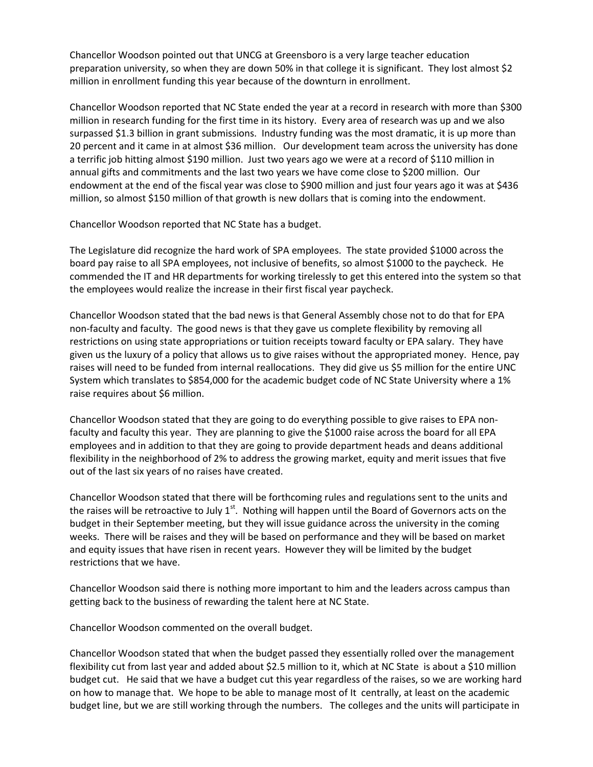Chancellor Woodson pointed out that UNCG at Greensboro is a very large teacher education preparation university, so when they are down 50% in that college it is significant. They lost almost \$2 million in enrollment funding this year because of the downturn in enrollment.

Chancellor Woodson reported that NC State ended the year at a record in research with more than \$300 million in research funding for the first time in its history. Every area of research was up and we also surpassed \$1.3 billion in grant submissions. Industry funding was the most dramatic, it is up more than 20 percent and it came in at almost \$36 million. Our development team across the university has done a terrific job hitting almost \$190 million. Just two years ago we were at a record of \$110 million in annual gifts and commitments and the last two years we have come close to \$200 million. Our endowment at the end of the fiscal year was close to \$900 million and just four years ago it was at \$436 million, so almost \$150 million of that growth is new dollars that is coming into the endowment.

Chancellor Woodson reported that NC State has a budget.

The Legislature did recognize the hard work of SPA employees. The state provided \$1000 across the board pay raise to all SPA employees, not inclusive of benefits, so almost \$1000 to the paycheck. He commended the IT and HR departments for working tirelessly to get this entered into the system so that the employees would realize the increase in their first fiscal year paycheck.

Chancellor Woodson stated that the bad news is that General Assembly chose not to do that for EPA non-faculty and faculty. The good news is that they gave us complete flexibility by removing all restrictions on using state appropriations or tuition receipts toward faculty or EPA salary. They have given us the luxury of a policy that allows us to give raises without the appropriated money. Hence, pay raises will need to be funded from internal reallocations. They did give us \$5 million for the entire UNC System which translates to \$854,000 for the academic budget code of NC State University where a 1% raise requires about \$6 million.

Chancellor Woodson stated that they are going to do everything possible to give raises to EPA nonfaculty and faculty this year. They are planning to give the \$1000 raise across the board for all EPA employees and in addition to that they are going to provide department heads and deans additional flexibility in the neighborhood of 2% to address the growing market, equity and merit issues that five out of the last six years of no raises have created.

Chancellor Woodson stated that there will be forthcoming rules and regulations sent to the units and the raises will be retroactive to July  $1<sup>st</sup>$ . Nothing will happen until the Board of Governors acts on the budget in their September meeting, but they will issue guidance across the university in the coming weeks. There will be raises and they will be based on performance and they will be based on market and equity issues that have risen in recent years. However they will be limited by the budget restrictions that we have.

Chancellor Woodson said there is nothing more important to him and the leaders across campus than getting back to the business of rewarding the talent here at NC State.

Chancellor Woodson commented on the overall budget.

Chancellor Woodson stated that when the budget passed they essentially rolled over the management flexibility cut from last year and added about \$2.5 million to it, which at NC State is about a \$10 million budget cut. He said that we have a budget cut this year regardless of the raises, so we are working hard on how to manage that. We hope to be able to manage most of It centrally, at least on the academic budget line, but we are still working through the numbers. The colleges and the units will participate in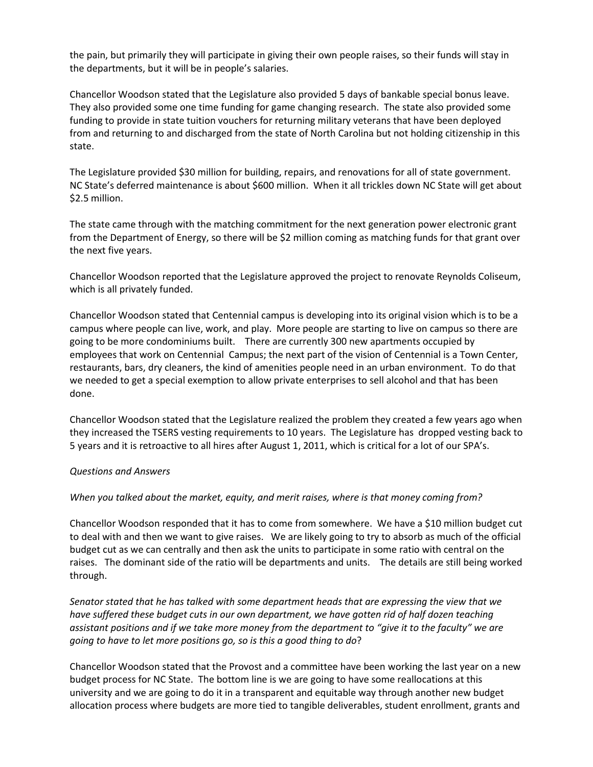the pain, but primarily they will participate in giving their own people raises, so their funds will stay in the departments, but it will be in people's salaries.

Chancellor Woodson stated that the Legislature also provided 5 days of bankable special bonus leave. They also provided some one time funding for game changing research. The state also provided some funding to provide in state tuition vouchers for returning military veterans that have been deployed from and returning to and discharged from the state of North Carolina but not holding citizenship in this state.

The Legislature provided \$30 million for building, repairs, and renovations for all of state government. NC State's deferred maintenance is about \$600 million. When it all trickles down NC State will get about \$2.5 million.

The state came through with the matching commitment for the next generation power electronic grant from the Department of Energy, so there will be \$2 million coming as matching funds for that grant over the next five years.

Chancellor Woodson reported that the Legislature approved the project to renovate Reynolds Coliseum, which is all privately funded.

Chancellor Woodson stated that Centennial campus is developing into its original vision which is to be a campus where people can live, work, and play. More people are starting to live on campus so there are going to be more condominiums built. There are currently 300 new apartments occupied by employees that work on Centennial Campus; the next part of the vision of Centennial is a Town Center, restaurants, bars, dry cleaners, the kind of amenities people need in an urban environment. To do that we needed to get a special exemption to allow private enterprises to sell alcohol and that has been done.

Chancellor Woodson stated that the Legislature realized the problem they created a few years ago when they increased the TSERS vesting requirements to 10 years. The Legislature has dropped vesting back to 5 years and it is retroactive to all hires after August 1, 2011, which is critical for a lot of our SPA's.

#### *Questions and Answers*

#### *When you talked about the market, equity, and merit raises, where is that money coming from?*

Chancellor Woodson responded that it has to come from somewhere. We have a \$10 million budget cut to deal with and then we want to give raises. We are likely going to try to absorb as much of the official budget cut as we can centrally and then ask the units to participate in some ratio with central on the raises. The dominant side of the ratio will be departments and units. The details are still being worked through.

*Senator stated that he has talked with some department heads that are expressing the view that we have suffered these budget cuts in our own department, we have gotten rid of half dozen teaching assistant positions and if we take more money from the department to "give it to the faculty" we are going to have to let more positions go, so is this a good thing to do*?

Chancellor Woodson stated that the Provost and a committee have been working the last year on a new budget process for NC State. The bottom line is we are going to have some reallocations at this university and we are going to do it in a transparent and equitable way through another new budget allocation process where budgets are more tied to tangible deliverables, student enrollment, grants and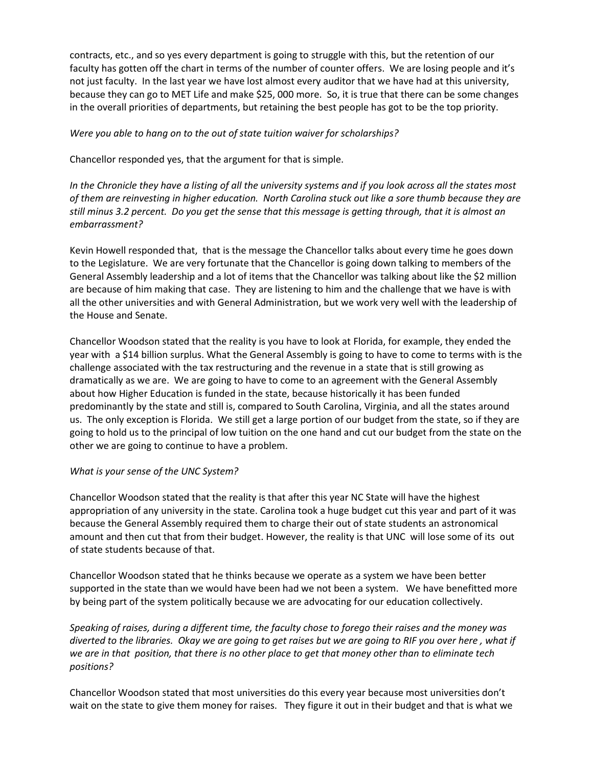contracts, etc., and so yes every department is going to struggle with this, but the retention of our faculty has gotten off the chart in terms of the number of counter offers. We are losing people and it's not just faculty. In the last year we have lost almost every auditor that we have had at this university, because they can go to MET Life and make \$25, 000 more. So, it is true that there can be some changes in the overall priorities of departments, but retaining the best people has got to be the top priority.

*Were you able to hang on to the out of state tuition waiver for scholarships?*

Chancellor responded yes, that the argument for that is simple.

*In the Chronicle they have a listing of all the university systems and if you look across all the states most of them are reinvesting in higher education. North Carolina stuck out like a sore thumb because they are still minus 3.2 percent. Do you get the sense that this message is getting through, that it is almost an embarrassment?*

Kevin Howell responded that, that is the message the Chancellor talks about every time he goes down to the Legislature. We are very fortunate that the Chancellor is going down talking to members of the General Assembly leadership and a lot of items that the Chancellor was talking about like the \$2 million are because of him making that case. They are listening to him and the challenge that we have is with all the other universities and with General Administration, but we work very well with the leadership of the House and Senate.

Chancellor Woodson stated that the reality is you have to look at Florida, for example, they ended the year with a \$14 billion surplus. What the General Assembly is going to have to come to terms with is the challenge associated with the tax restructuring and the revenue in a state that is still growing as dramatically as we are. We are going to have to come to an agreement with the General Assembly about how Higher Education is funded in the state, because historically it has been funded predominantly by the state and still is, compared to South Carolina, Virginia, and all the states around us. The only exception is Florida. We still get a large portion of our budget from the state, so if they are going to hold us to the principal of low tuition on the one hand and cut our budget from the state on the other we are going to continue to have a problem.

#### *What is your sense of the UNC System?*

Chancellor Woodson stated that the reality is that after this year NC State will have the highest appropriation of any university in the state. Carolina took a huge budget cut this year and part of it was because the General Assembly required them to charge their out of state students an astronomical amount and then cut that from their budget. However, the reality is that UNC will lose some of its out of state students because of that.

Chancellor Woodson stated that he thinks because we operate as a system we have been better supported in the state than we would have been had we not been a system. We have benefitted more by being part of the system politically because we are advocating for our education collectively.

*Speaking of raises, during a different time, the faculty chose to forego their raises and the money was diverted to the libraries. Okay we are going to get raises but we are going to RIF you over here , what if we are in that position, that there is no other place to get that money other than to eliminate tech positions?*

Chancellor Woodson stated that most universities do this every year because most universities don't wait on the state to give them money for raises. They figure it out in their budget and that is what we